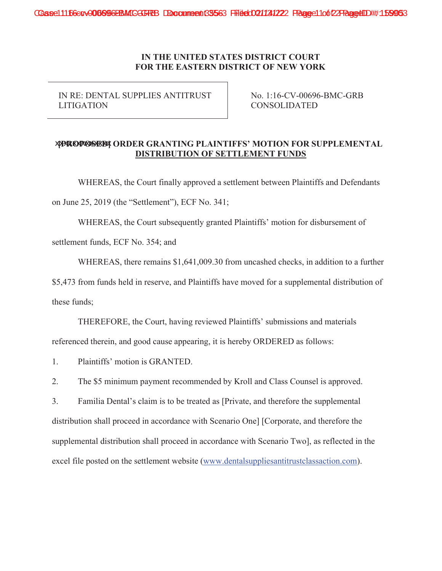## **IN THE UNITED STATES DISTRICT COURT FOR THE EASTERN DISTRICT OF NEW YORK**

IN RE: DENTAL SUPPLIES ANTITRUST LITIGATION

No. 1:16-CV-00696-BMC-GRB CONSOLIDATED

## **xproposed; ORDER GRANTING PLAINTIFFS' MOTION FOR SUPPLEMENTAL DISTRIBUTION OF SETTLEMENT FUNDS**

WHEREAS, the Court finally approved a settlement between Plaintiffs and Defendants on June 25, 2019 (the "Settlement"), ECF No. 341;

WHEREAS, the Court subsequently granted Plaintiffs' motion for disbursement of

settlement funds, ECF No. 354; and

WHEREAS, there remains \$1,641,009.30 from uncashed checks, in addition to a further

\$5,473 from funds held in reserve, and Plaintiffs have moved for a supplemental distribution of these funds;

THEREFORE, the Court, having reviewed Plaintiffs' submissions and materials referenced therein, and good cause appearing, it is hereby ORDERED as follows:

1. Plaintiffs' motion is GRANTED.

2. The \$5 minimum payment recommended by Kroll and Class Counsel is approved.

3. Familia Dental's claim is to be treated as [Private, and therefore the supplemental distribution shall proceed in accordance with Scenario One] [Corporate, and therefore the supplemental distribution shall proceed in accordance with Scenario Two], as reflected in the excel file posted on the settlement website (www.dentalsuppliesantitrustclassaction.com).